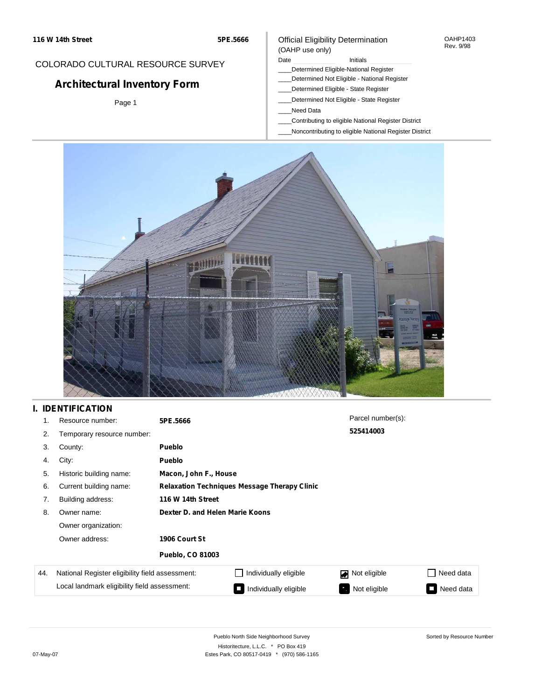#### OAHP1403 Rev. 9/98

### COLORADO CULTURAL RESOURCE SURVEY

# **Architectural Inventory Form**

Page 1

### (OAHP use only) Date **Initials** Initials

\_\_\_\_Determined Eligible-National Register

Official Eligibility Determination

- \_\_\_\_Determined Not Eligible National Register
- \_\_\_\_Determined Eligible State Register
- \_\_\_\_Determined Not Eligible State Register
- \_\_\_\_Need Data
- \_\_\_\_Contributing to eligible National Register District
- \_\_\_\_Noncontributing to eligible National Register District



## **I. IDENTIFICATION**

| 1.  | Resource number:                                | 5PE.5666                                            |                       | Parcel number(s):        |           |  |  |  |  |  |
|-----|-------------------------------------------------|-----------------------------------------------------|-----------------------|--------------------------|-----------|--|--|--|--|--|
| 2.  | Temporary resource number:                      |                                                     |                       | 525414003                |           |  |  |  |  |  |
| 3.  | County:                                         | <b>Pueblo</b>                                       |                       |                          |           |  |  |  |  |  |
| 4.  | City:                                           | <b>Pueblo</b>                                       |                       |                          |           |  |  |  |  |  |
| 5.  | Historic building name:                         |                                                     | Macon, John F., House |                          |           |  |  |  |  |  |
| 6.  | Current building name:                          | <b>Relaxation Techniques Message Therapy Clinic</b> |                       |                          |           |  |  |  |  |  |
| 7.  | Building address:                               | 116 W 14th Street                                   |                       |                          |           |  |  |  |  |  |
| 8.  | Owner name:                                     | Dexter D. and Helen Marie Koons                     |                       |                          |           |  |  |  |  |  |
|     | Owner organization:                             |                                                     |                       |                          |           |  |  |  |  |  |
|     | Owner address:                                  | 1906 Court St                                       |                       |                          |           |  |  |  |  |  |
|     |                                                 | <b>Pueblo, CO 81003</b>                             |                       |                          |           |  |  |  |  |  |
| 44. | National Register eligibility field assessment: |                                                     | Individually eligible | Not eligible<br>◪        | Need data |  |  |  |  |  |
|     | Local landmark eligibility field assessment:    |                                                     | Individually eligible | Not eligible<br><b>G</b> | Need data |  |  |  |  |  |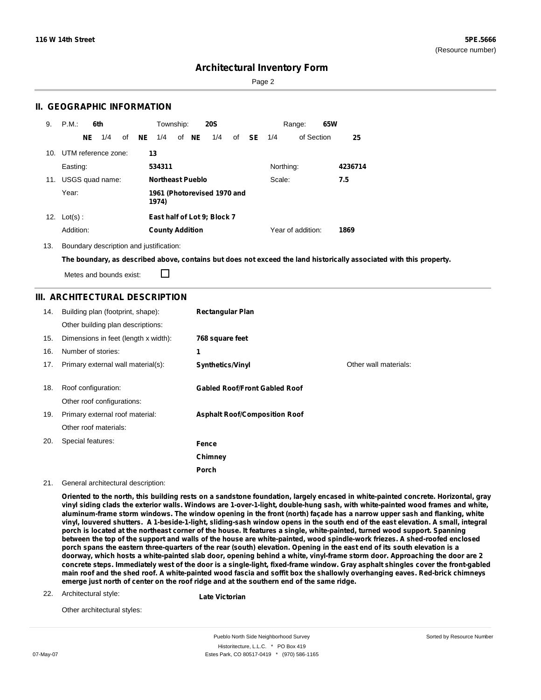Sorted by Resource Number

### **Architectural Inventory Form**

Page 2

### **II. GEOGRAPHIC INFORMATION**

| 9.              | P.M.                | 6th |     |    |           | Township:               |       | <b>20S</b>                  |    |    |           | Range:            | 65W |         |
|-----------------|---------------------|-----|-----|----|-----------|-------------------------|-------|-----------------------------|----|----|-----------|-------------------|-----|---------|
|                 |                     | NE. | 1/4 | of | <b>NE</b> | 1/4                     | of NE | 1/4                         | of | SE | 1/4       | of Section        |     | 25      |
| 10 <sub>1</sub> | UTM reference zone: |     |     |    |           | 13                      |       |                             |    |    |           |                   |     |         |
|                 | Easting:            |     |     |    |           | 534311                  |       |                             |    |    | Northing: |                   |     | 4236714 |
| 11.             | USGS quad name:     |     |     |    |           | <b>Northeast Pueblo</b> |       |                             |    |    | Scale:    |                   |     | 7.5     |
|                 | Year:               |     |     |    |           | 1974)                   |       | 1961 (Photorevised 1970 and |    |    |           |                   |     |         |
| 12.             | $Lot(s)$ :          |     |     |    |           |                         |       | East half of Lot 9; Block 7 |    |    |           |                   |     |         |
|                 | Addition:           |     |     |    |           | <b>County Addition</b>  |       |                             |    |    |           | Year of addition: |     | 1869    |

13. Boundary description and justification:

The boundary, as described above, contains but does not exceed the land historically associated with this property.

Metes and bounds exist:

П

### **III. ARCHITECTURAL DESCRIPTION**

| 14. | Building plan (footprint, shape):<br>Other building plan descriptions: | <b>Rectangular Plan</b>              |                       |
|-----|------------------------------------------------------------------------|--------------------------------------|-----------------------|
| 15. | Dimensions in feet (length x width):                                   | 768 square feet                      |                       |
| 16. | Number of stories:                                                     | 1                                    |                       |
| 17. | Primary external wall material(s):                                     | <b>Synthetics/Vinyl</b>              | Other wall materials: |
|     |                                                                        |                                      |                       |
| 18. | Roof configuration:                                                    | <b>Gabled Roof/Front Gabled Roof</b> |                       |
|     | Other roof configurations:                                             |                                      |                       |
| 19. | Primary external roof material:                                        | <b>Asphalt Roof/Composition Roof</b> |                       |
|     | Other roof materials:                                                  |                                      |                       |
| 20. | Special features:                                                      | Fence                                |                       |
|     |                                                                        | Chimney                              |                       |
|     |                                                                        | Porch                                |                       |

21. General architectural description:

Oriented to the north, this building rests on a sandstone foundation, largely encased in white-painted concrete. Horizontal, gray vinyl siding clads the exterior walls. Windows are 1-over-1-light, double-hung sash, with white-painted wood frames and white, aluminum-frame storm windows. The window opening in the front (north) façade has a narrow upper sash and flanking, white vinyl, louvered shutters. A 1-beside-1-light, sliding-sash window opens in the south end of the east elevation. A small, integral porch is located at the northeast corner of the house. It features a single, white-painted, turned wood support. Spanning between the top of the support and walls of the house are white-painted, wood spindle-work friezes. A shed-roofed enclosed porch spans the eastern three-quarters of the rear (south) elevation. Opening in the east end of its south elevation is a doorway, which hosts a white-painted slab door, opening behind a white, vinyl-frame storm door. Approaching the door are 2 concrete steps. Immediately west of the door is a single-light, fixed-frame window. Gray asphalt shingles cover the front-gabled main roof and the shed roof. A white-painted wood fascia and soffit box the shallowly overhanging eaves. Red-brick chimneys **emerge just north of center on the roof ridge and at the southern end of the same ridge.**

#### 22. Architectural style:

**Late Victorian**

Other architectural styles:

Pueblo North Side Neighborhood Survey Historitecture, L.L.C. \* PO Box 419 07-May-07 **Estes Park, CO 80517-0419** \* (970) 586-1165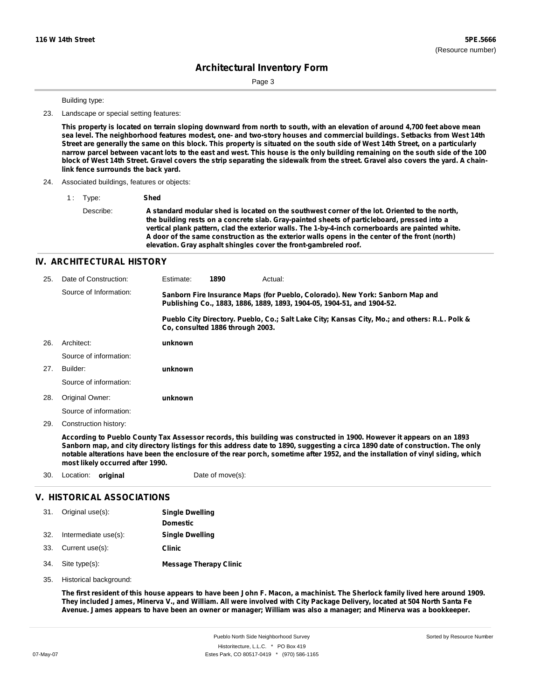Sorted by Resource Number

## **Architectural Inventory Form**

Page 3

Building type:

23. Landscape or special setting features:

This property is located on terrain sloping downward from north to south, with an elevation of around 4,700 feet above mean sea level. The neighborhood features modest, one- and two-story houses and commercial buildings. Setbacks from West 14th Street are generally the same on this block. This property is situated on the south side of West 14th Street, on a particularly narrow parcel between vacant lots to the east and west. This house is the only building remaining on the south side of the 100 block of West 14th Street. Gravel covers the strip separating the sidewalk from the street. Gravel also covers the yard. A chain**link fence surrounds the back yard.**

- 24. Associated buildings, features or objects:
	- 1 : Type: **Shed**
		- Describe: **A standard modular shed is located on the southwest corner of the lot. Oriented to the north, the building rests on a concrete slab. Gray-painted sheets of particleboard, pressed into a vertical plank pattern, clad the exterior walls. The 1-by-4-inch cornerboards are painted white. A door of the same construction as the exterior walls opens in the center of the front (north) elevation. Gray asphalt shingles cover the front-gambreled roof.**

### **IV. ARCHITECTURAL HISTORY**

| 25. | Date of Construction:  | Estimate: | 1890                                                                                                                                                    | Actual:                                                                                       |
|-----|------------------------|-----------|---------------------------------------------------------------------------------------------------------------------------------------------------------|-----------------------------------------------------------------------------------------------|
|     | Source of Information: |           | Sanborn Fire Insurance Maps (for Pueblo, Colorado). New York: Sanborn Map and<br>Publishing Co., 1883, 1886, 1889, 1893, 1904-05, 1904-51, and 1904-52. |                                                                                               |
|     |                        |           | Co. consulted 1886 through 2003.                                                                                                                        | Pueblo City Directory. Pueblo, Co.; Salt Lake City; Kansas City, Mo.; and others: R.L. Polk & |
| 26. | Architect:             | unknown   |                                                                                                                                                         |                                                                                               |
|     | Source of information: |           |                                                                                                                                                         |                                                                                               |
| 27. | Builder:               | unknown   |                                                                                                                                                         |                                                                                               |
|     | Source of information: |           |                                                                                                                                                         |                                                                                               |
| 28. | Original Owner:        | unknown   |                                                                                                                                                         |                                                                                               |
|     | Source of information: |           |                                                                                                                                                         |                                                                                               |
| 29. | Construction history:  |           |                                                                                                                                                         |                                                                                               |

According to Pueblo County Tax Assessor records, this building was constructed in 1900. However it appears on an 1893 Sanborn map, and city directory listings for this address date to 1890, suggesting a circa 1890 date of construction. The only notable alterations have been the enclosure of the rear porch, sometime after 1952, and the installation of vinyl siding, which **most likely occurred after 1990.**

30. Location: **original** Date of move(s):

### **V. HISTORICAL ASSOCIATIONS**

| 31. Original use(s):     | <b>Single Dwelling</b>        |  |  |
|--------------------------|-------------------------------|--|--|
|                          | <b>Domestic</b>               |  |  |
| 32. Intermediate use(s): | <b>Single Dwelling</b>        |  |  |
| 33. Current use(s):      | <b>Clinic</b>                 |  |  |
| 34. Site type(s):        | <b>Message Therapy Clinic</b> |  |  |

35. Historical background:

The first resident of this house appears to have been John F. Macon, a machinist. The Sherlock family lived here around 1909. They included James, Minerva V., and William. All were involved with City Package Delivery, located at 504 North Santa Fe Avenue. James appears to have been an owner or manager; William was also a manager; and Minerva was a bookkeeper.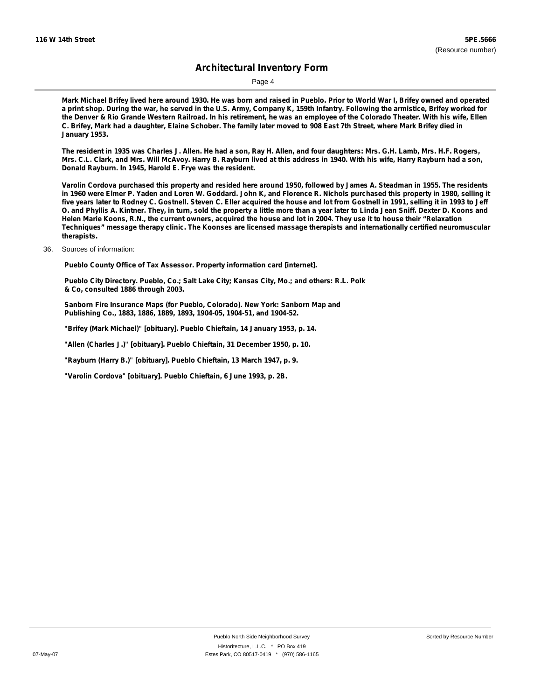## **Architectural Inventory Form**

Page 4

Mark Michael Brifey lived here around 1930. He was born and raised in Pueblo. Prior to World War I, Brifey owned and operated a print shop. During the war, he served in the U.S. Army, Company K, 159th Infantry. Following the armistice, Brifey worked for the Denver & Rio Grande Western Railroad. In his retirement, he was an employee of the Colorado Theater. With his wife, Ellen C. Brifey, Mark had a daughter, Elaine Schober. The family later moved to 908 East 7th Street, where Mark Brifey died in **January 1953.**

The resident in 1935 was Charles J. Allen. He had a son, Ray H. Allen, and four daughters: Mrs. G.H. Lamb, Mrs. H.F. Rogers, Mrs. C.L. Clark, and Mrs. Will McAvoy. Harry B. Rayburn lived at this address in 1940. With his wife, Harry Rayburn had a son, **Donald Rayburn. In 1945, Harold E. Frye was the resident.**

Varolin Cordova purchased this property and resided here around 1950, followed by James A. Steadman in 1955. The residents in 1960 were Elmer P. Yaden and Loren W. Goddard. John K, and Florence R. Nichols purchased this property in 1980, selling it five years later to Rodney C. Gostnell. Steven C. Eller acquired the house and lot from Gostnell in 1991, selling it in 1993 to Jeff O. and Phyllis A. Kintner. They, in turn, sold the property a little more than a year later to Linda Jean Sniff. Dexter D. Koons and Helen Marie Koons, R.N., the current owners, acquired the house and lot in 2004. They use it to house their "Relaxation **Techniques" message therapy clinic. The Koonses are licensed massage therapists and internationally certified neuromuscular therapists.**

36. Sources of information:

**Pueblo County Office of Tax Assessor. Property information card [internet].**

**Pueblo City Directory. Pueblo, Co.; Salt Lake City; Kansas City, Mo.; and others: R.L. Polk & Co, consulted 1886 through 2003.**

**Sanborn Fire Insurance Maps (for Pueblo, Colorado). New York: Sanborn Map and Publishing Co., 1883, 1886, 1889, 1893, 1904-05, 1904-51, and 1904-52.**

**"Brifey (Mark Michael)" [obituary]. Pueblo Chieftain, 14 January 1953, p. 14.**

**"Allen (Charles J.)" [obituary]. Pueblo Chieftain, 31 December 1950, p. 10.**

**"Rayburn (Harry B.)" [obituary]. Pueblo Chieftain, 13 March 1947, p. 9.**

**"Varolin Cordova" [obituary]. Pueblo Chieftain, 6 June 1993, p. 2B.**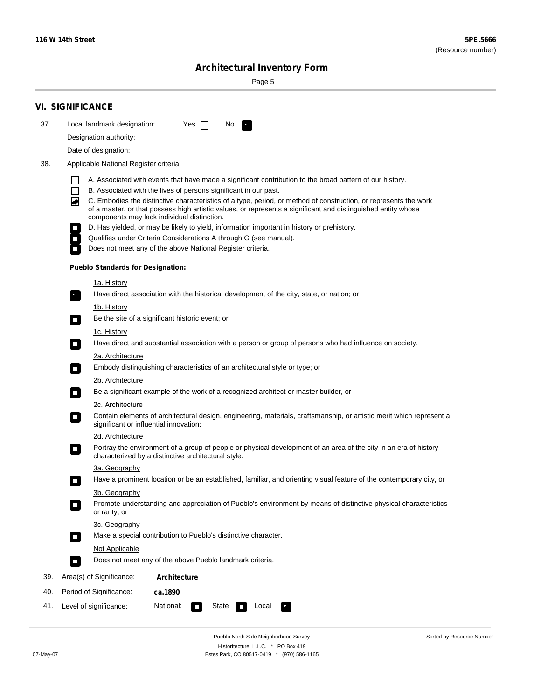÷

Sorted by Resource Number

# **Architectural Inventory Form**

Page 5

|     | <b>VI. SIGNIFICANCE</b>                                                                                                                                                                                                                                                                                 |                                                                                                                                                                                                                                                                                                                                                                                                                                                                                                                                                                                                                                                                                                                                                                                                                                                                                                                                                                                                                                                                                                                                                                                                                                                                                                                                                                                                                                                                                  |
|-----|---------------------------------------------------------------------------------------------------------------------------------------------------------------------------------------------------------------------------------------------------------------------------------------------------------|----------------------------------------------------------------------------------------------------------------------------------------------------------------------------------------------------------------------------------------------------------------------------------------------------------------------------------------------------------------------------------------------------------------------------------------------------------------------------------------------------------------------------------------------------------------------------------------------------------------------------------------------------------------------------------------------------------------------------------------------------------------------------------------------------------------------------------------------------------------------------------------------------------------------------------------------------------------------------------------------------------------------------------------------------------------------------------------------------------------------------------------------------------------------------------------------------------------------------------------------------------------------------------------------------------------------------------------------------------------------------------------------------------------------------------------------------------------------------------|
| 37. | Local landmark designation:                                                                                                                                                                                                                                                                             | Yes $\Box$<br>No.<br>$\mathbf{F}$                                                                                                                                                                                                                                                                                                                                                                                                                                                                                                                                                                                                                                                                                                                                                                                                                                                                                                                                                                                                                                                                                                                                                                                                                                                                                                                                                                                                                                                |
|     | Designation authority:                                                                                                                                                                                                                                                                                  |                                                                                                                                                                                                                                                                                                                                                                                                                                                                                                                                                                                                                                                                                                                                                                                                                                                                                                                                                                                                                                                                                                                                                                                                                                                                                                                                                                                                                                                                                  |
|     | Date of designation:                                                                                                                                                                                                                                                                                    |                                                                                                                                                                                                                                                                                                                                                                                                                                                                                                                                                                                                                                                                                                                                                                                                                                                                                                                                                                                                                                                                                                                                                                                                                                                                                                                                                                                                                                                                                  |
| 38. | Applicable National Register criteria:                                                                                                                                                                                                                                                                  |                                                                                                                                                                                                                                                                                                                                                                                                                                                                                                                                                                                                                                                                                                                                                                                                                                                                                                                                                                                                                                                                                                                                                                                                                                                                                                                                                                                                                                                                                  |
|     | $\Box$<br>◙<br><b>Pueblo Standards for Designation:</b><br><u>1a. History</u><br>$\overline{\phantom{a}}$ .<br><u>1b. History</u><br>$\Box$<br>1c. History<br>$\Box$<br>2a. Architecture<br>$\Box$<br>2b. Architecture<br>$\mathcal{L}_{\mathcal{A}}$<br>2c. Architecture<br>О<br>2d. Architecture<br>О | A. Associated with events that have made a significant contribution to the broad pattern of our history.<br>B. Associated with the lives of persons significant in our past.<br>C. Embodies the distinctive characteristics of a type, period, or method of construction, or represents the work<br>of a master, or that possess high artistic values, or represents a significant and distinguished entity whose<br>components may lack individual distinction.<br>D. Has yielded, or may be likely to yield, information important in history or prehistory.<br>Qualifies under Criteria Considerations A through G (see manual).<br>Does not meet any of the above National Register criteria.<br>Have direct association with the historical development of the city, state, or nation; or<br>Be the site of a significant historic event; or<br>Have direct and substantial association with a person or group of persons who had influence on society.<br>Embody distinguishing characteristics of an architectural style or type; or<br>Be a significant example of the work of a recognized architect or master builder, or<br>Contain elements of architectural design, engineering, materials, craftsmanship, or artistic merit which represent a<br>significant or influential innovation;<br>Portray the environment of a group of people or physical development of an area of the city in an era of history<br>characterized by a distinctive architectural style. |
|     | 3a. Geography                                                                                                                                                                                                                                                                                           |                                                                                                                                                                                                                                                                                                                                                                                                                                                                                                                                                                                                                                                                                                                                                                                                                                                                                                                                                                                                                                                                                                                                                                                                                                                                                                                                                                                                                                                                                  |
|     |                                                                                                                                                                                                                                                                                                         | Have a prominent location or be an established, familiar, and orienting visual feature of the contemporary city, or                                                                                                                                                                                                                                                                                                                                                                                                                                                                                                                                                                                                                                                                                                                                                                                                                                                                                                                                                                                                                                                                                                                                                                                                                                                                                                                                                              |
|     | 3b. Geography                                                                                                                                                                                                                                                                                           |                                                                                                                                                                                                                                                                                                                                                                                                                                                                                                                                                                                                                                                                                                                                                                                                                                                                                                                                                                                                                                                                                                                                                                                                                                                                                                                                                                                                                                                                                  |
|     | or rarity; or                                                                                                                                                                                                                                                                                           | Promote understanding and appreciation of Pueblo's environment by means of distinctive physical characteristics                                                                                                                                                                                                                                                                                                                                                                                                                                                                                                                                                                                                                                                                                                                                                                                                                                                                                                                                                                                                                                                                                                                                                                                                                                                                                                                                                                  |
|     | 3c. Geography                                                                                                                                                                                                                                                                                           |                                                                                                                                                                                                                                                                                                                                                                                                                                                                                                                                                                                                                                                                                                                                                                                                                                                                                                                                                                                                                                                                                                                                                                                                                                                                                                                                                                                                                                                                                  |
|     | $\Box$                                                                                                                                                                                                                                                                                                  | Make a special contribution to Pueblo's distinctive character.                                                                                                                                                                                                                                                                                                                                                                                                                                                                                                                                                                                                                                                                                                                                                                                                                                                                                                                                                                                                                                                                                                                                                                                                                                                                                                                                                                                                                   |
|     | Not Applicable                                                                                                                                                                                                                                                                                          |                                                                                                                                                                                                                                                                                                                                                                                                                                                                                                                                                                                                                                                                                                                                                                                                                                                                                                                                                                                                                                                                                                                                                                                                                                                                                                                                                                                                                                                                                  |
|     | П                                                                                                                                                                                                                                                                                                       | Does not meet any of the above Pueblo landmark criteria.                                                                                                                                                                                                                                                                                                                                                                                                                                                                                                                                                                                                                                                                                                                                                                                                                                                                                                                                                                                                                                                                                                                                                                                                                                                                                                                                                                                                                         |
| 39. | Area(s) of Significance:                                                                                                                                                                                                                                                                                | <b>Architecture</b>                                                                                                                                                                                                                                                                                                                                                                                                                                                                                                                                                                                                                                                                                                                                                                                                                                                                                                                                                                                                                                                                                                                                                                                                                                                                                                                                                                                                                                                              |
| 40. | Period of Significance:                                                                                                                                                                                                                                                                                 | ca.1890                                                                                                                                                                                                                                                                                                                                                                                                                                                                                                                                                                                                                                                                                                                                                                                                                                                                                                                                                                                                                                                                                                                                                                                                                                                                                                                                                                                                                                                                          |
| 41. | Level of significance:                                                                                                                                                                                                                                                                                  | National:<br>State<br>Local<br>$\Box$                                                                                                                                                                                                                                                                                                                                                                                                                                                                                                                                                                                                                                                                                                                                                                                                                                                                                                                                                                                                                                                                                                                                                                                                                                                                                                                                                                                                                                            |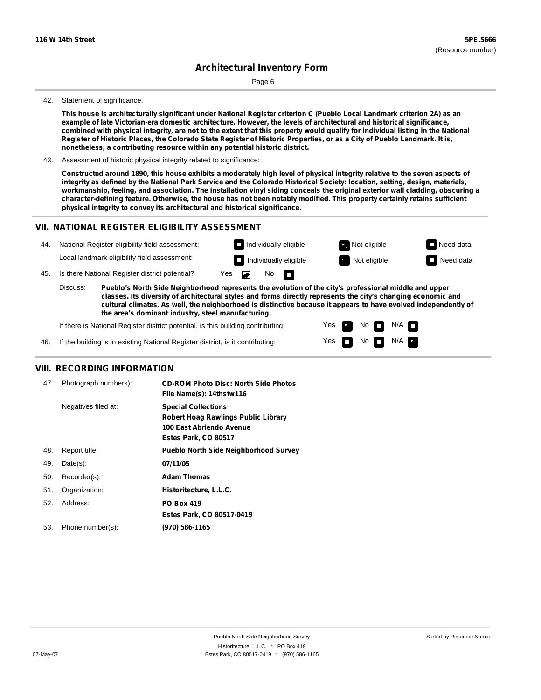# **Architectural Inventory Form**

Page 6

#### 42. Statement of significance:

This house is architecturally significant under National Register criterion C (Pueblo Local Landmark criterion 2A) as an **example of late Victorian-era domestic architecture. However, the levels of architectural and historical significance,** combined with physical integrity, are not to the extent that this property would qualify for individual listing in the National Register of Historic Places, the Colorado State Register of Historic Properties, or as a City of Pueblo Landmark. It is, **nonetheless, a contributing resource within any potential historic district.**

43. Assessment of historic physical integrity related to significance:

Constructed around 1890, this house exhibits a moderately high level of physical integrity relative to the seven aspects of integrity as defined by the National Park Service and the Colorado Historical Society: location, setting, design, materials, workmanship, feeling, and association. The installation vinyl siding conceals the original exterior wall cladding, obscuring a character-defining feature. Otherwise, the house has not been notably modified. This property certainly retains sufficient **physical integrity to convey its architectural and historical significance.**

### **VII. NATIONAL REGISTER ELIGIBILITY ASSESSMENT**

| 44. | National Register eligibility field assessment:                                                                                                                                                                                    |  |                              | $\Box$ Individually eligible |  |  | Not eligible | $\Box$ Need data |
|-----|------------------------------------------------------------------------------------------------------------------------------------------------------------------------------------------------------------------------------------|--|------------------------------|------------------------------|--|--|--------------|------------------|
|     | Local landmark eligibility field assessment:                                                                                                                                                                                       |  |                              | $\Box$ Individually eligible |  |  | Not eligible | $\Box$ Need data |
| 45. | Is there National Register district potential?                                                                                                                                                                                     |  | No $\blacksquare$<br>Yes Dan |                              |  |  |              |                  |
|     | Discuss:<br>Pueblo's North Side Neighborhood represents the evolution of the city's professional middle and upper<br>classes. Its diversity of architectural styles and forms directly represents the city's changing economic and |  |                              |                              |  |  |              |                  |

**cultural climates. As well, the neighborhood is distinctive because it appears to have evolved independently of the area's dominant industry, steel manufacturing.**

> Yes Yes

No

No  $\blacksquare$  N/A  $\blacksquare$ 

 $N/A$   $\Box$ 

If there is National Register district potential, is this building contributing:

46. If the building is in existing National Register district, is it contributing:

### **VIII. RECORDING INFORMATION**

| 47. | Photograph numbers): | <b>CD-ROM Photo Disc: North Side Photos</b><br>File Name(s): 14thstw116                                                      |
|-----|----------------------|------------------------------------------------------------------------------------------------------------------------------|
|     | Negatives filed at:  | <b>Special Collections</b><br><b>Robert Hoag Rawlings Public Library</b><br>100 East Abriendo Avenue<br>Estes Park, CO 80517 |
| 48. | Report title:        | <b>Pueblo North Side Neighborhood Survey</b>                                                                                 |
| 49. | $Date(s)$ :          | 07/11/05                                                                                                                     |
| 50. | Recorder(s):         | <b>Adam Thomas</b>                                                                                                           |
| 51. | Organization:        | Historitecture, L.L.C.                                                                                                       |
| 52. | Address:             | <b>PO Box 419</b>                                                                                                            |
|     |                      | Estes Park, CO 80517-0419                                                                                                    |
| 53. | Phone number(s):     | (970) 586-1165                                                                                                               |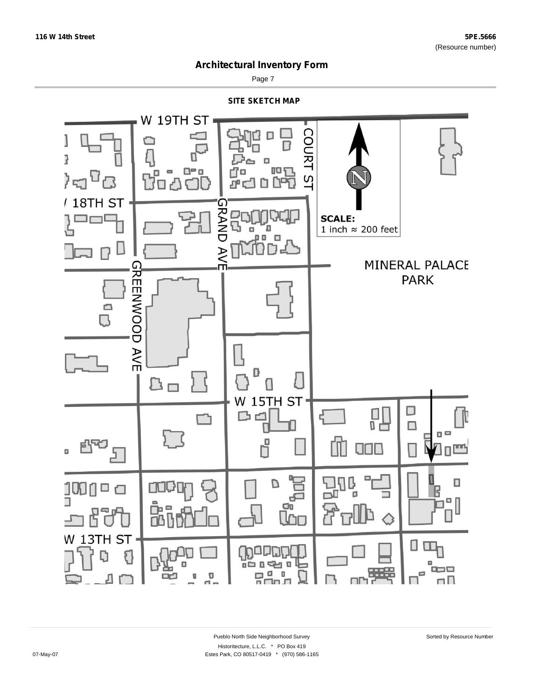

Page 7